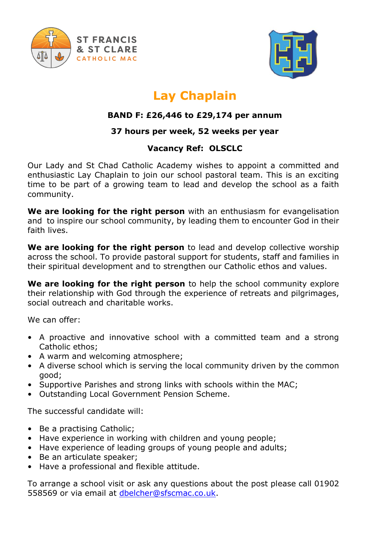



## **Lay Chaplain**

## **BAND F: £26,446 to £29,174 per annum**

## **37 hours per week, 52 weeks per year**

## **Vacancy Ref: OLSCLC**

Our Lady and St Chad Catholic Academy wishes to appoint a committed and enthusiastic Lay Chaplain to join our school pastoral team. This is an exciting time to be part of a growing team to lead and develop the school as a faith community.

**We are looking for the right person** with an enthusiasm for evangelisation and to inspire our school community, by leading them to encounter God in their faith lives.

**We are looking for the right person** to lead and develop collective worship across the school. To provide pastoral support for students, staff and families in their spiritual development and to strengthen our Catholic ethos and values.

**We are looking for the right person** to help the school community explore their relationship with God through the experience of retreats and pilgrimages, social outreach and charitable works.

We can offer:

- A proactive and innovative school with a committed team and a strong Catholic ethos;
- A warm and welcoming atmosphere;
- A diverse school which is serving the local community driven by the common good;
- Supportive Parishes and strong links with schools within the MAC;
- Outstanding Local Government Pension Scheme.

The successful candidate will:

- Be a practising Catholic;
- Have experience in working with children and young people;
- Have experience of leading groups of young people and adults;
- Be an articulate speaker;
- Have a professional and flexible attitude.

To arrange a school visit or ask any questions about the post please call 01902 558569 or via email at [dbelcher@sfscmac.co.uk.](mailto:dbelcher@sfscmac.co.uk)